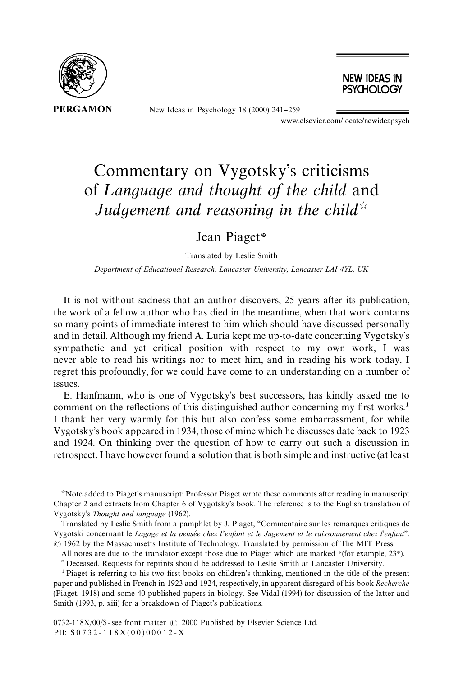

**NEW IDEAS IN PSYCHOLOGY** 

New Ideas in Psychology  $18$  (2000) 241-259

www.elsevier.com/locate/newideapsych

# Commentary on Vygotsky's criticisms of *Language and thought of the child* and *Judgement and reasoning in the child*<sup> $\star$ </sup>

Jean Piaget<sup>\*</sup>

Translated by Leslie Smith

*Department of Educational Research, Lancaster University, Lancaster LAI 4YL, UK*

It is not without sadness that an author discovers, 25 years after its publication, the work of a fellow author who has died in the meantime, when that work contains so many points of immediate interest to him which should have discussed personally and in detail. Although my friend A. Luria kept me up-to-date concerning Vygotsky's sympathetic and yet critical position with respect to my own work, I was never able to read his writings nor to meet him, and in reading his work today, I regret this profoundly, for we could have come to an understanding on a number of issues.

E. Hanfmann, who is one of Vygotsky's best successors, has kindly asked me to comment on the reflections of this distinguished author concerning my first works.<sup>1</sup> I thank her very warmly for this but also confess some embarrassment, for while Vygotsky's book appeared in 1934, those of mine which he discusses date back to 1923 and 1924. On thinking over the question of how to carry out such a discussion in retrospect, I have however found a solution that is both simple and instructive (at least

 $*$ Note added to Piaget's manuscript: Professor Piaget wrote these comments after reading in manuscript Chapter 2 and extracts from Chapter 6 of Vygotsky's book. The reference is to the English translation of Vygotsky's *Thought and language* (1962).

Translated by Leslie Smith from a pamphlet by J. Piaget, "Commentaire sur les remarques critiques de Vygotski concernant le *Lagage et la pense*& *e chez l*'*enfant et le Jugement et le raissonnement chez l*'*enfant*''. ( 1962 by the Massachusetts Institute of Technology. Translated by permission of The MIT Press.

All notes are due to the translator except those due to Piaget which are marked  $*($  for example,  $23*)$ .

<sup>\*</sup> Deceased. Requests for reprints should be addressed to Leslie Smith at Lancaster University.

<sup>&</sup>lt;sup>1</sup> Piaget is referring to his two first books on children's thinking, mentioned in the title of the present paper and published in French in 1923 and 1924, respectively, in apparent disregard of his book *Recherche* (Piaget, 1918) and some 40 published papers in biology. See Vidal (1994) for discussion of the latter and Smith (1993, p. xiii) for a breakdown of Piaget's publications.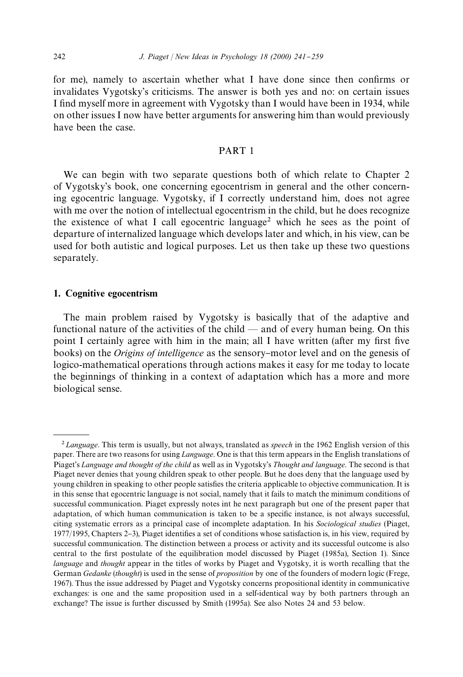for me), namely to ascertain whether what I have done since then confirms or invalidates Vygotsky's criticisms. The answer is both yes and no: on certain issues I find myself more in agreement with Vygotsky than I would have been in 1934, while on other issues I now have better arguments for answering him than would previously have been the case.

# PART 1

We can begin with two separate questions both of which relate to Chapter 2 of Vygotsky's book, one concerning egocentrism in general and the other concerning egocentric language. Vygotsky, if I correctly understand him, does not agree with me over the notion of intellectual egocentrism in the child, but he does recognize the existence of what I call egocentric language<sup>2</sup> which he sees as the point of departure of internalized language which develops later and which, in his view, can be used for both autistic and logical purposes. Let us then take up these two questions separately.

## 1. Cognitive egocentrism

The main problem raised by Vygotsky is basically that of the adaptive and functional nature of the activities of the child  $-$  and of every human being. On this point I certainly agree with him in the main; all I have written (after my first five books) on the *Origins of intelligence* as the sensory–motor level and on the genesis of logico-mathematical operations through actions makes it easy for me today to locate the beginnings of thinking in a context of adaptation which has a more and more biological sense.

<sup>2</sup> *Language*. This term is usually, but not always, translated as *speech* in the 1962 English version of this paper. There are two reasons for using *Language*. One is that this term appears in the English translations of Piaget's *Language and thought of the child* as well as in Vygotsky's *Thought and language*. The second is that Piaget never denies that young children speak to other people. But he does deny that the language used by young children in speaking to other people satisfies the criteria applicable to objective communication. It is in this sense that egocentric language is not social, namely that it fails to match the minimum conditions of successful communication. Piaget expressly notes int he next paragraph but one of the present paper that adaptation, of which human communication is taken to be a specific instance, is not always successful, citing systematic errors as a principal case of incomplete adaptation. In his *Sociological studies* (Piaget,  $1977/1995$ , Chapters 2-3), Piaget identifies a set of conditions whose satisfaction is, in his view, required by successful communication. The distinction between a process or activity and its successful outcome is also central to the first postulate of the equilibration model discussed by Piaget (1985a), Section 1). Since *language* and *thought* appear in the titles of works by Piaget and Vygotsky, it is worth recalling that the German *Gedanke* (*thought*) is used in the sense of *proposition* by one of the founders of modern logic (Frege, 1967). Thus the issue addressed by Piaget and Vygotsky concerns propositional identity in communicative exchanges: is one and the same proposition used in a self-identical way by both partners through an exchange? The issue is further discussed by Smith (1995a). See also Notes 24 and 53 below.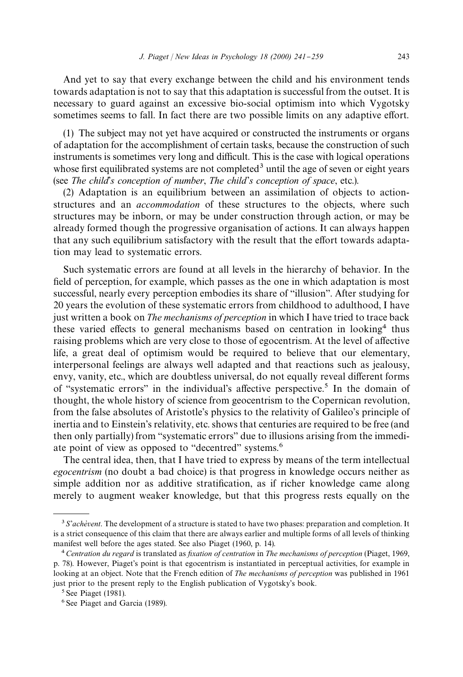And yet to say that every exchange between the child and his environment tends towards adaptation is not to say that this adaptation is successful from the outset. It is necessary to guard against an excessive bio-social optimism into which Vygotsky sometimes seems to fall. In fact there are two possible limits on any adaptive effort.

(1) The subject may not yet have acquired or constructed the instruments or organs of adaptation for the accomplishment of certain tasks, because the construction of such instruments is sometimes very long and difficult. This is the case with logical operations whose first equilibrated systems are not completed<sup>3</sup> until the age of seven or eight years (see *The child*'*s conception of number*, *The child*'*s conception of space*, etc.).

(2) Adaptation is an equilibrium between an assimilation of objects to actionstructures and an *accommodation* of these structures to the objects, where such structures may be inborn, or may be under construction through action, or may be already formed though the progressive organisation of actions. It can always happen that any such equilibrium satisfactory with the result that the effort towards adaptation may lead to systematic errors.

Such systematic errors are found at all levels in the hierarchy of behavior. In the field of perception, for example, which passes as the one in which adaptation is most successful, nearly every perception embodies its share of "illusion". After studying for 20 years the evolution of these systematic errors from childhood to adulthood, I have just written a book on *The mechanisms of perception* in which I have tried to trace back these varied effects to general mechanisms based on centration in looking<sup>4</sup> thus raising problems which are very close to those of egocentrism. At the level of affective life, a great deal of optimism would be required to believe that our elementary, interpersonal feelings are always well adapted and that reactions such as jealousy, envy, vanity, etc., which are doubtless universal, do not equally reveal different forms of "systematic errors" in the individual's affective perspective.<sup>5</sup> In the domain of thought, the whole history of science from geocentrism to the Copernican revolution, from the false absolutes of Aristotle's physics to the relativity of Galileo's principle of inertia and to Einstein's relativity, etc. shows that centuries are required to be free (and then only partially) from "systematic errors" due to illusions arising from the immediate point of view as opposed to "decentred" systems.<sup>6</sup>

The central idea, then, that I have tried to express by means of the term intellectual *egocentrism* (no doubt a bad choice) is that progress in knowledge occurs neither as simple addition nor as additive stratification, as if richer knowledge came along merely to augment weaker knowledge, but that this progress rests equally on the

<sup>&</sup>lt;sup>3</sup> *S'achèvent*. The development of a structure is stated to have two phases: preparation and completion. It is a strict consequence of this claim that there are always earlier and multiple forms of all levels of thinking manifest well before the ages stated. See also Piaget (1960, p. 14).

<sup>&</sup>lt;sup>4</sup> Centration du regard is translated as *fixation of centration* in *The mechanisms of perception* (Piaget, 1969, p. 78). However, Piaget's point is that egocentrism is instantiated in perceptual activities, for example in looking at an object. Note that the French edition of *The mechanisms of perception* was published in 1961 just prior to the present reply to the English publication of Vygotsky's book.

<sup>5</sup> See Piaget (1981).

<sup>6</sup> See Piaget and Garcia (1989).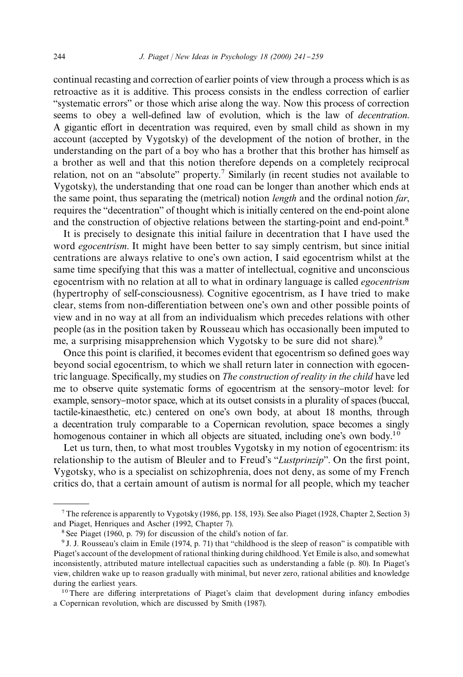continual recasting and correction of earlier points of view through a process which is as retroactive as it is additive. This process consists in the endless correction of earlier "systematic errors" or those which arise along the way. Now this process of correction seems to obey a well-defined law of evolution, which is the law of *decentration*. A gigantic effort in decentration was required, even by small child as shown in my account (accepted by Vygotsky) of the development of the notion of brother, in the understanding on the part of a boy who has a brother that this brother has himself as a brother as well and that this notion therefore depends on a completely reciprocal relation, not on an "absolute" property.<sup>7</sup> Similarly (in recent studies not available to Vygotsky), the understanding that one road can be longer than another which ends at the same point, thus separating the (metrical) notion *length* and the ordinal notion *far*, requires the "decentration" of thought which is initially centered on the end-point alone and the construction of objective relations between the starting-point and end-point.<sup>8</sup>

It is precisely to designate this initial failure in decentration that I have used the word *egocentrism*. It might have been better to say simply centrism, but since initial centrations are always relative to one's own action, I said egocentrism whilst at the same time specifying that this was a matter of intellectual, cognitive and unconscious egocentrism with no relation at all to what in ordinary language is called *egocentrism* (hypertrophy of self-consciousness). Cognitive egocentrism, as I have tried to make clear, stems from non-differentiation between one's own and other possible points of view and in no way at all from an individualism which precedes relations with other people (as in the position taken by Rousseau which has occasionally been imputed to me, a surprising misapprehension which Vygotsky to be sure did not share).<sup>9</sup>

Once this point is clarified, it becomes evident that egocentrism so defined goes way beyond social egocentrism, to which we shall return later in connection with egocentric language. Specifically, my studies on *The construction of reality in the child* have led me to observe quite systematic forms of egocentrism at the sensory–motor level: for example, sensory–motor space, which at its outset consists in a plurality of spaces (buccal, tactile-kinaesthetic, etc.) centered on one's own body, at about 18 months, through a decentration truly comparable to a Copernican revolution, space becomes a singly homogenous container in which all objects are situated, including one's own body.<sup>10</sup>

Let us turn, then, to what most troubles Vygotsky in my notion of egocentrism: its relationship to the autism of Bleuler and to Freud's *"Lustprinzip*". On the first point, Vygotsky, who is a specialist on schizophrenia, does not deny, as some of my French critics do, that a certain amount of autism is normal for all people, which my teacher

<sup>7</sup>The reference is apparently to Vygotsky (1986, pp. 158, 193). See also Piaget (1928, Chapter 2, Section 3) and Piaget, Henriques and Ascher (1992, Chapter 7).

<sup>8</sup> See Piaget (1960, p. 79) for discussion of the child's notion of far.

 $9$  J. J. Rousseau's claim in Emile (1974, p. 71) that "childhood is the sleep of reason" is compatible with Piaget's account of the development of rational thinking during childhood. Yet Emile is also, and somewhat inconsistently, attributed mature intellectual capacities such as understanding a fable (p. 80). In Piaget's view, children wake up to reason gradually with minimal, but never zero, rational abilities and knowledge during the earliest years.

 $10$  There are differing interpretations of Piaget's claim that development during infancy embodies a Copernican revolution, which are discussed by Smith (1987).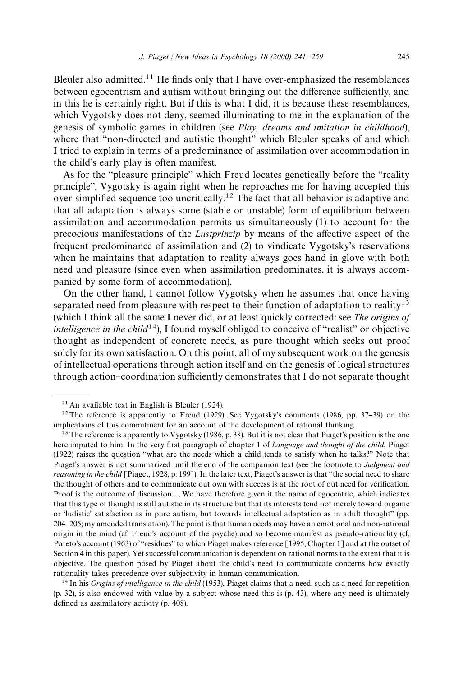Bleuler also admitted.<sup>11</sup> He finds only that I have over-emphasized the resemblances between egocentrism and autism without bringing out the difference sufficiently, and in this he is certainly right. But if this is what I did, it is because these resemblances, which Vygotsky does not deny, seemed illuminating to me in the explanation of the genesis of symbolic games in children (see *Play, dreams and imitation in childhood*), where that "non-directed and autistic thought" which Bleuler speaks of and which I tried to explain in terms of a predominance of assimilation over accommodation in the child's early play is often manifest.

As for the "pleasure principle" which Freud locates genetically before the "reality" principle", Vygotsky is again right when he reproaches me for having accepted this over-simplified sequence too uncritically.<sup>12</sup> The fact that all behavior is adaptive and that all adaptation is always some (stable or unstable) form of equilibrium between assimilation and accommodation permits us simultaneously (1) to account for the precocious manifestations of the *Lustprinzip* by means of the affective aspect of the frequent predominance of assimilation and (2) to vindicate Vygotsky's reservations when he maintains that adaptation to reality always goes hand in glove with both need and pleasure (since even when assimilation predominates, it is always accompanied by some form of accommodation).

On the other hand, I cannot follow Vygotsky when he assumes that once having separated need from pleasure with respect to their function of adaptation to reality<sup>13</sup> (which I think all the same I never did, or at least quickly corrected: see *The origins of intelligence in the child*<sup>14</sup>), I found myself obliged to conceive of "realist" or objective thought as independent of concrete needs, as pure thought which seeks out proof solely for its own satisfaction. On this point, all of my subsequent work on the genesis of intellectual operations through action itself and on the genesis of logical structures through action-coordination sufficiently demonstrates that I do not separate thought

<sup>13</sup> The reference is apparently to Vygotsky (1986, p. 38). But it is not clear that Piaget's position is the one here imputed to him. In the very first paragraph of chapter 1 of *Language and thought of the child*, Piaget  $(1922)$  raises the question "what are the needs which a child tends to satisfy when he talks?" Note that Piaget's answer is not summarized until the end of the companion text (see the footnote to *Judgment and reasoning in the child* [Piaget, 1928, p. 199]). In the later text, Piaget's answer is that "the social need to share the thought of others and to communicate out own with success is at the root of out need for verification. Proof is the outcome of discussion ... We have therefore given it the name of egocentric, which indicates that this type of thought is still autistic in its structure but that its interests tend not merely toward organic or 'ludistic' satisfaction as in pure autism, but towards intellectual adaptation as in adult thought" (pp. 204–205; my amended translation). The point is that human needs may have an emotional and non-rational origin in the mind (cf. Freud's account of the psyche) and so become manifest as pseudo-rationality (cf. Pareto's account (1963) of "residues" to which Piaget makes reference [1995, Chapter 1] and at the outset of Section 4 in this paper). Yet successful communication is dependent on rational norms to the extent that it is objective. The question posed by Piaget about the child's need to communicate concerns how exactly rationality takes precedence over subjectivity in human communication.

<sup>14</sup> In his *Origins of intelligence in the child* (1953), Piaget claims that a need, such as a need for repetition (p. 32), is also endowed with value by a subject whose need this is (p. 43), where any need is ultimately defined as assimilatory activity (p. 408).

 $11$  An available text in English is Bleuler (1924).

 $12$  The reference is apparently to Freud (1929). See Vygotsky's comments (1986, pp. 37–39) on the implications of this commitment for an account of the development of rational thinking.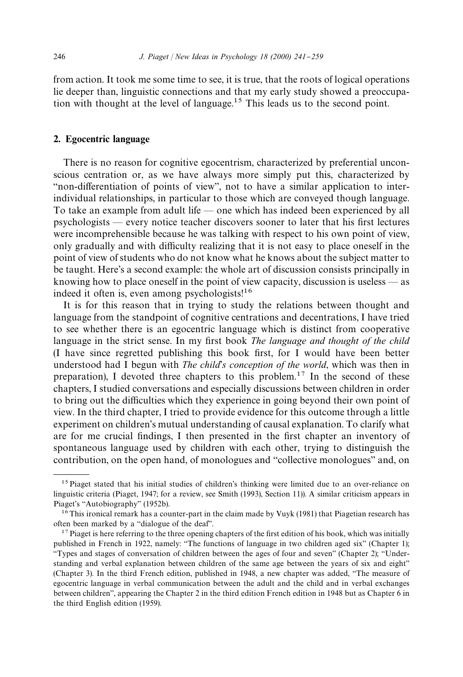from action. It took me some time to see, it is true, that the roots of logical operations lie deeper than, linguistic connections and that my early study showed a preoccupation with thought at the level of language.<sup>15</sup> This leads us to the second point.

## 2. Egocentric language

There is no reason for cognitive egocentrism, characterized by preferential unconscious centration or, as we have always more simply put this, characterized by "non-differentiation of points of view", not to have a similar application to interindividual relationships, in particular to those which are conveyed though language. To take an example from adult life  $-$  one which has indeed been experienced by all psychologists  $-$  every notice teacher discovers sooner to later that his first lectures were incomprehensible because he was talking with respect to his own point of view, only gradually and with difficulty realizing that it is not easy to place oneself in the point of view of students who do not know what he knows about the subject matter to be taught. Here's a second example: the whole art of discussion consists principally in knowing how to place oneself in the point of view capacity, discussion is useless  $-$  as indeed it often is, even among psychologists! $16$ 

It is for this reason that in trying to study the relations between thought and language from the standpoint of cognitive centrations and decentrations, I have tried to see whether there is an egocentric language which is distinct from cooperative language in the strict sense. In my first book *The language and thought of the child*  $(I)$  have since regretted publishing this book first, for I would have been better understood had I begun with *The child*'*s conception of the world*, which was then in preparation), I devoted three chapters to this problem.<sup>17</sup> In the second of these chapters, I studied conversations and especially discussions between children in order to bring out the difficulties which they experience in going beyond their own point of view. In the third chapter, I tried to provide evidence for this outcome through a little experiment on children's mutual understanding of causal explanation. To clarify what are for me crucial findings, I then presented in the first chapter an inventory of spontaneous language used by children with each other, trying to distinguish the contribution, on the open hand, of monologues and "collective monologues" and, on

<sup>&</sup>lt;sup>15</sup> Piaget stated that his initial studies of children's thinking were limited due to an over-reliance on linguistic criteria (Piaget, 1947; for a review, see Smith (1993), Section 11)). A similar criticism appears in Piaget's "Autobiography" (1952b).

 $16$ This ironical remark has a counter-part in the claim made by Vuyk (1981) that Piagetian research has often been marked by a "dialogue of the deaf".

 $17$  Piaget is here referring to the three opening chapters of the first edition of his book, which was initially published in French in 1922, namely: "The functions of language in two children aged six" (Chapter 1); "Types and stages of conversation of children between the ages of four and seven" (Chapter 2); "Understanding and verbal explanation between children of the same age between the years of six and eight" (Chapter 3). In the third French edition, published in 1948, a new chapter was added, "The measure of egocentric language in verbal communication between the adult and the child and in verbal exchanges between children", appearing the Chapter 2 in the third edition French edition in 1948 but as Chapter 6 in the third English edition (1959).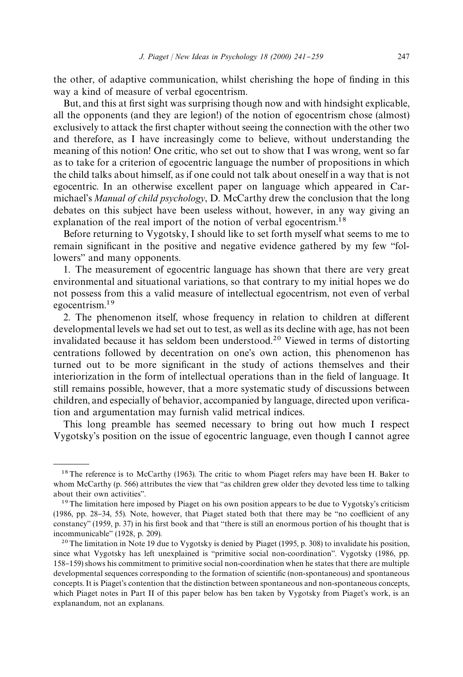the other, of adaptive communication, whilst cherishing the hope of finding in this way a kind of measure of verbal egocentrism.

But, and this at first sight was surprising though now and with hindsight explicable, all the opponents (and they are legion!) of the notion of egocentrism chose (almost) exclusively to attack the first chapter without seeing the connection with the other two and therefore, as I have increasingly come to believe, without understanding the meaning of this notion! One critic, who set out to show that I was wrong, went so far as to take for a criterion of egocentric language the number of propositions in which the child talks about himself, as if one could not talk about oneself in a way that is not egocentric. In an otherwise excellent paper on language which appeared in Carmichael's *Manual of child psychology*, D. McCarthy drew the conclusion that the long debates on this subject have been useless without, however, in any way giving an explanation of the real import of the notion of verbal egocentrism.<sup>18</sup>

Before returning to Vygotsky, I should like to set forth myself what seems to me to remain significant in the positive and negative evidence gathered by my few "followers" and many opponents.

1. The measurement of egocentric language has shown that there are very great environmental and situational variations, so that contrary to my initial hopes we do not possess from this a valid measure of intellectual egocentrism, not even of verbal egocentrism.19

2. The phenomenon itself, whose frequency in relation to children at different developmental levels we had set out to test, as well as its decline with age, has not been invalidated because it has seldom been understood.<sup>20</sup> Viewed in terms of distorting centrations followed by decentration on one's own action, this phenomenon has turned out to be more significant in the study of actions themselves and their interiorization in the form of intellectual operations than in the field of language. It still remains possible, however, that a more systematic study of discussions between children, and especially of behavior, accompanied by language, directed upon verification and argumentation may furnish valid metrical indices.

This long preamble has seemed necessary to bring out how much I respect Vygotsky's position on the issue of egocentric language, even though I cannot agree

<sup>&</sup>lt;sup>18</sup> The reference is to McCarthy (1963). The critic to whom Piaget refers may have been H. Baker to whom McCarthy (p. 566) attributes the view that "as children grew older they devoted less time to talking about their own activities".

<sup>&</sup>lt;sup>19</sup>The limitation here imposed by Piaget on his own position appears to be due to Vygotsky's criticism (1986, pp. 28-34, 55). Note, however, that Piaget stated both that there may be "no coefficient of any constancy" (1959, p. 37) in his first book and that "there is still an enormous portion of his thought that is incommunicable" (1928, p. 209).

 $20$ <sup>20</sup> The limitation in Note 19 due to Vygotsky is denied by Piaget (1995, p. 308) to invalidate his position, since what Vygotsky has left unexplained is "primitive social non-coordination". Vygotsky (1986, pp. 158}159) shows his commitment to primitive social non-coordination when he states that there are multiple developmental sequences corresponding to the formation of scientific (non-spontaneous) and spontaneous concepts. It is Piaget's contention that the distinction between spontaneous and non-spontaneous concepts, which Piaget notes in Part II of this paper below has ben taken by Vygotsky from Piaget's work, is an explanandum, not an explanans.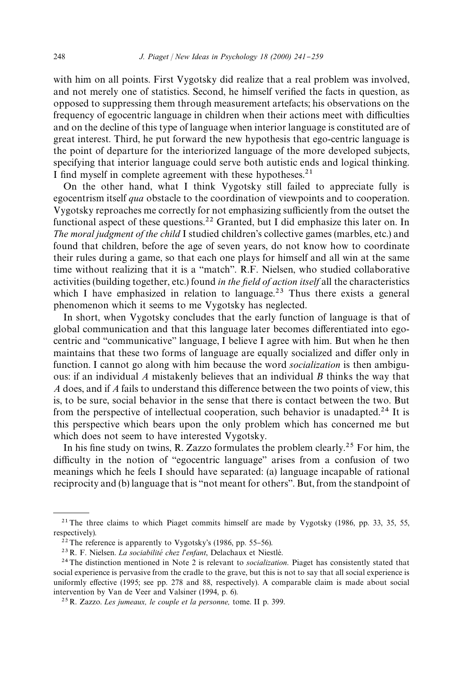with him on all points. First Vygotsky did realize that a real problem was involved, and not merely one of statistics. Second, he himself verified the facts in question, as opposed to suppressing them through measurement artefacts; his observations on the frequency of egocentric language in children when their actions meet with difficulties and on the decline of this type of language when interior language is constituted are of great interest. Third, he put forward the new hypothesis that ego-centric language is the point of departure for the interiorized language of the more developed subjects, specifying that interior language could serve both autistic ends and logical thinking. I find myself in complete agreement with these hypotheses. $2<sup>1</sup>$ 

On the other hand, what I think Vygotsky still failed to appreciate fully is egocentrism itself *qua* obstacle to the coordination of viewpoints and to cooperation. Vygotsky reproaches me correctly for not emphasizing sufficiently from the outset the functional aspect of these questions.<sup>22</sup> Granted, but I did emphasize this later on. In *The moral judgment of the child* I studied children's collective games (marbles, etc.) and found that children, before the age of seven years, do not know how to coordinate their rules during a game, so that each one plays for himself and all win at the same time without realizing that it is a "match". R.F. Nielsen, who studied collaborative activities (building together, etc.) found *in the field of action itself* all the characteristics which I have emphasized in relation to language.<sup>23</sup> Thus there exists a general phenomenon which it seems to me Vygotsky has neglected.

In short, when Vygotsky concludes that the early function of language is that of global communication and that this language later becomes differentiated into egocentric and "communicative" language, I believe I agree with him. But when he then maintains that these two forms of language are equally socialized and differ only in function. I cannot go along with him because the word *socialization* is then ambiguous: if an individual *A* mistakenly believes that an individual *B* thinks the way that *A* does, and if *A* fails to understand this difference between the two points of view, this is, to be sure, social behavior in the sense that there is contact between the two. But from the perspective of intellectual cooperation, such behavior is unadapted.<sup>24</sup> It is this perspective which bears upon the only problem which has concerned me but which does not seem to have interested Vygotsky.

In his fine study on twins, R. Zazzo formulates the problem clearly.<sup>25</sup> For him, the difficulty in the notion of "egocentric language" arises from a confusion of two meanings which he feels I should have separated: (a) language incapable of rational reciprocity and (b) language that is "not meant for others". But, from the standpoint of

<sup>&</sup>lt;sup>21</sup> The three claims to which Piaget commits himself are made by Vygotsky (1986, pp. 33, 35, 55, respectively).

 $22$  The reference is apparently to Vygotsky's (1986, pp. 55–56).

<sup>&</sup>lt;sup>23</sup> R. F. Nielsen. *La sociabilité chez l'enfant*, Delachaux et Niestlé.

<sup>24</sup>The distinction mentioned in Note 2 is relevant to *socialization*. Piaget has consistently stated that social experience is pervasive from the cradle to the grave, but this is not to say that all social experience is uniformly effective (1995; see pp. 278 and 88, respectively). A comparable claim is made about social intervention by Van de Veer and Valsiner (1994, p. 6).

<sup>25</sup> R. Zazzo. *Les jumeaux, le couple et la personne,* tome. II p. 399.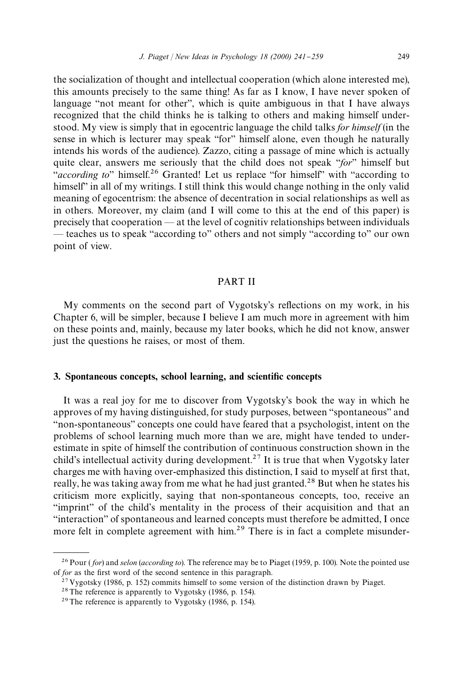the socialization of thought and intellectual cooperation (which alone interested me), this amounts precisely to the same thing! As far as I know, I have never spoken of language "not meant for other", which is quite ambiguous in that I have always recognized that the child thinks he is talking to others and making himself understood. My view is simply that in egocentric language the child talks *for himself* (in the sense in which is lecturer may speak "for" himself alone, even though he naturally intends his words of the audience). Zazzo, citing a passage of mine which is actually quite clear, answers me seriously that the child does not speak "for" himself but <sup>"</sup>according to" himself.<sup>26</sup> Granted! Let us replace "for himself" with "according to himself<sup>o</sup> in all of my writings. I still think this would change nothing in the only valid meaning of egocentrism: the absence of decentration in social relationships as well as in others. Moreover, my claim (and I will come to this at the end of this paper) is precisely that cooperation \* at the level of cognitiv relationships between individuals teaches us to speak "according to" others and not simply "according to" our own point of view.

#### PART II

My comments on the second part of Vygotsky's reflections on my work, in his Chapter 6, will be simpler, because I believe I am much more in agreement with him on these points and, mainly, because my later books, which he did not know, answer just the questions he raises, or most of them.

#### 3. Spontaneous concepts, school learning, and scientific concepts

It was a real joy for me to discover from Vygotsky's book the way in which he approves of my having distinguished, for study purposes, between "spontaneous" and "non-spontaneous" concepts one could have feared that a psychologist, intent on the problems of school learning much more than we are, might have tended to underestimate in spite of himself the contribution of continuous construction shown in the child's intellectual activity during development.<sup>27</sup> It is true that when Vygotsky later charges me with having over-emphasized this distinction, I said to myself at first that, really, he was taking away from me what he had just granted.28 But when he states his criticism more explicitly, saying that non-spontaneous concepts, too, receive an "imprint" of the child's mentality in the process of their acquisition and that an "interaction" of spontaneous and learned concepts must therefore be admitted, I once more felt in complete agreement with him.<sup>29</sup> There is in fact a complete misunder-

<sup>&</sup>lt;sup>26</sup> Pour (*for*) and *selon* (*according to*). The reference may be to Piaget (1959, p. 100). Note the pointed use of *for* as the first word of the second sentence in this paragraph.

 $27$  Vygotsky (1986, p. 152) commits himself to some version of the distinction drawn by Piaget.

<sup>28</sup>The reference is apparently to Vygotsky (1986, p. 154).

 $29$  The reference is apparently to Vygotsky (1986, p. 154).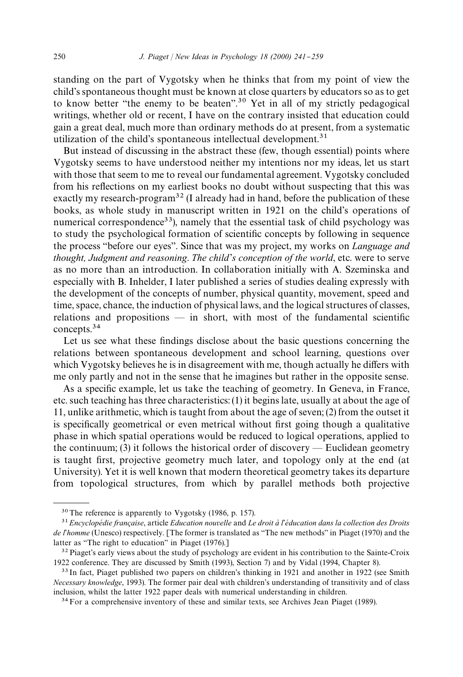standing on the part of Vygotsky when he thinks that from my point of view the child's spontaneous thought must be known at close quarters by educators so as to get to know better "the enemy to be beaten".<sup>30</sup> Yet in all of my strictly pedagogical writings, whether old or recent, I have on the contrary insisted that education could gain a great deal, much more than ordinary methods do at present, from a systematic utilization of the child's spontaneous intellectual development.<sup>31</sup>

But instead of discussing in the abstract these (few, though essential) points where Vygotsky seems to have understood neither my intentions nor my ideas, let us start with those that seem to me to reveal our fundamental agreement. Vygotsky concluded from his reflections on my earliest books no doubt without suspecting that this was exactly my research-program<sup>32</sup> (I already had in hand, before the publication of these books, as whole study in manuscript written in 1921 on the child's operations of numerical correspondence<sup>33</sup>), namely that the essential task of child psychology was to study the psychological formation of scientific concepts by following in sequence the process "before our eyes". Since that was my project, my works on *Language and thought, Judgment and reasoning*. *The child*'*s conception of the world*, etc. were to serve as no more than an introduction. In collaboration initially with A. Szeminska and especially with B. Inhelder, I later published a series of studies dealing expressly with the development of the concepts of number, physical quantity, movement, speed and time, space, chance, the induction of physical laws, and the logical structures of classes, relations and propositions  $-$  in short, with most of the fundamental scientific concepts.34

Let us see what these findings disclose about the basic questions concerning the relations between spontaneous development and school learning, questions over which Vygotsky believes he is in disagreement with me, though actually he differs with me only partly and not in the sense that he imagines but rather in the opposite sense.

As a specific example, let us take the teaching of geometry. In Geneva, in France, etc. such teaching has three characteristics: (1) it begins late, usually at about the age of 11, unlike arithmetic, which is taught from about the age of seven; (2) from the outset it is specifically geometrical or even metrical without first going though a qualitative phase in which spatial operations would be reduced to logical operations, applied to the continuum; (3) it follows the historical order of discovery  $-$  Euclidean geometry is taught first, projective geometry much later, and topology only at the end (at University). Yet it is well known that modern theoretical geometry takes its departure from topological structures, from which by parallel methods both projective

<sup>30</sup>The reference is apparently to Vygotsky (1986, p. 157).

<sup>31</sup>*Encyclope*& *die franc*7*aise*, article *Education nouvelle* and *Le droit a*% *l*'*e*& *ducation dans la collection des Droits de l'homme* (Unesco) respectively. [The former is translated as "The new methods" in Piaget (1970) and the latter as "The right to education" in Piaget (1976).]

<sup>&</sup>lt;sup>32</sup> Piaget's early views about the study of psychology are evident in his contribution to the Sainte-Croix 1922 conference. They are discussed by Smith (1993), Section 7) and by Vidal (1994, Chapter 8).

<sup>&</sup>lt;sup>33</sup> In fact, Piaget published two papers on children's thinking in 1921 and another in 1922 (see Smith *Necessary knowledge*, 1993). The former pair deal with children's understanding of transitivity and of class inclusion, whilst the latter 1922 paper deals with numerical understanding in children.

<sup>&</sup>lt;sup>34</sup> For a comprehensive inventory of these and similar texts, see Archives Jean Piaget (1989).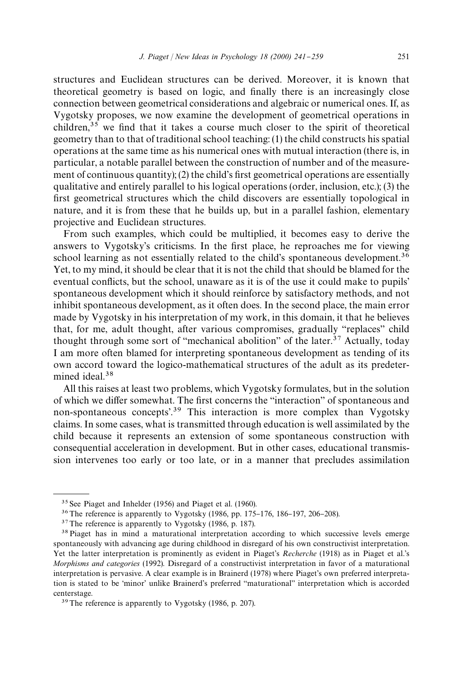structures and Euclidean structures can be derived. Moreover, it is known that theoretical geometry is based on logic, and finally there is an increasingly close connection between geometrical considerations and algebraic or numerical ones. If, as Vygotsky proposes, we now examine the development of geometrical operations in children,<sup>35</sup> we find that it takes a course much closer to the spirit of theoretical geometry than to that of traditional school teaching: (1) the child constructs his spatial operations at the same time as his numerical ones with mutual interaction (there is, in particular, a notable parallel between the construction of number and of the measurement of continuous quantity); (2) the child's first geometrical operations are essentially qualitative and entirely parallel to his logical operations (order, inclusion, etc.); (3) the first geometrical structures which the child discovers are essentially topological in nature, and it is from these that he builds up, but in a parallel fashion, elementary projective and Euclidean structures.

From such examples, which could be multiplied, it becomes easy to derive the answers to Vygotsky's criticisms. In the first place, he reproaches me for viewing school learning as not essentially related to the child's spontaneous development.<sup>36</sup> Yet, to my mind, it should be clear that it is not the child that should be blamed for the eventual conflicts, but the school, unaware as it is of the use it could make to pupils' spontaneous development which it should reinforce by satisfactory methods, and not inhibit spontaneous development, as it often does. In the second place, the main error made by Vygotsky in his interpretation of my work, in this domain, it that he believes that, for me, adult thought, after various compromises, gradually "replaces" child thought through some sort of "mechanical abolition" of the later.<sup>37</sup> Actually, today I am more often blamed for interpreting spontaneous development as tending of its own accord toward the logico-mathematical structures of the adult as its predetermined ideal.<sup>38</sup>

All this raises at least two problems, which Vygotsky formulates, but in the solution of which we differ somewhat. The first concerns the "interaction" of spontaneous and non-spontaneous concepts'.39 This interaction is more complex than Vygotsky claims. In some cases, what is transmitted through education is well assimilated by the child because it represents an extension of some spontaneous construction with consequential acceleration in development. But in other cases, educational transmission intervenes too early or too late, or in a manner that precludes assimilation

<sup>35</sup> See Piaget and Inhelder (1956) and Piaget et al. (1960).

 $36$  The reference is apparently to Vygotsky (1986, pp. 175-176, 186-197, 206-208).

<sup>&</sup>lt;sup>37</sup>The reference is apparently to Vygotsky (1986, p. 187).

<sup>&</sup>lt;sup>38</sup> Piaget has in mind a maturational interpretation according to which successive levels emerge spontaneously with advancing age during childhood in disregard of his own constructivist interpretation. Yet the latter interpretation is prominently as evident in Piaget's *Recherche* (1918) as in Piaget et al.'s *Morphisms and categories* (1992). Disregard of a constructivist interpretation in favor of a maturational interpretation is pervasive. A clear example is in Brainerd (1978) where Piaget's own preferred interpretation is stated to be 'minor' unlike Brainerd's preferred "maturational" interpretation which is accorded centerstage.

<sup>39</sup>The reference is apparently to Vygotsky (1986, p. 207).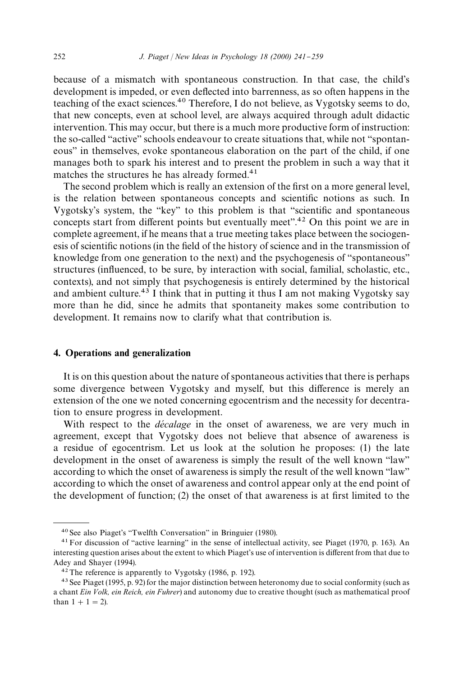because of a mismatch with spontaneous construction. In that case, the child's development is impeded, or even deflected into barrenness, as so often happens in the teaching of the exact sciences.40 Therefore, I do not believe, as Vygotsky seems to do, that new concepts, even at school level, are always acquired through adult didactic intervention. This may occur, but there is a much more productive form of instruction: the so-called "active" schools endeavour to create situations that, while not "spontaneous" in themselves, evoke spontaneous elaboration on the part of the child, if one manages both to spark his interest and to present the problem in such a way that it matches the structures he has already formed.<sup>41</sup>

The second problem which is really an extension of the first on a more general level, is the relation between spontaneous concepts and scientific notions as such. In Vygotsky's system, the "key" to this problem is that "scientific and spontaneous concepts start from different points but eventually meet".<sup>42</sup> On this point we are in complete agreement, if he means that a true meeting takes place between the sociogenesis of scientific notions (in the field of the history of science and in the transmission of knowledge from one generation to the next) and the psychogenesis of "spontaneous" structures (influenced, to be sure, by interaction with social, familial, scholastic, etc., contexts), and not simply that psychogenesis is entirely determined by the historical and ambient culture.<sup>43</sup> I think that in putting it thus I am not making Vygotsky say more than he did, since he admits that spontaneity makes some contribution to development. It remains now to clarify what that contribution is.

#### 4. Operations and generalization

It is on this question about the nature of spontaneous activities that there is perhaps some divergence between Vygotsky and myself, but this difference is merely an extension of the one we noted concerning egocentrism and the necessity for decentration to ensure progress in development.

With respect to the *décalage* in the onset of awareness, we are very much in agreement, except that Vygotsky does not believe that absence of awareness is a residue of egocentrism. Let us look at the solution he proposes: (1) the late development in the onset of awareness is simply the result of the well known "law" according to which the onset of awareness is simply the result of the well known "law" according to which the onset of awareness and control appear only at the end point of the development of function;  $(2)$  the onset of that awareness is at first limited to the

<sup>&</sup>lt;sup>40</sup> See also Piaget's "Twelfth Conversation" in Bringuier (1980).

 $41$  For discussion of "active learning" in the sense of intellectual activity, see Piaget (1970, p. 163). An interesting question arises about the extent to which Piaget's use of intervention is different from that due to Adey and Shayer (1994).

<sup>42</sup>The reference is apparently to Vygotsky (1986, p. 192).

<sup>&</sup>lt;sup>43</sup> See Piaget (1995, p. 92) for the major distinction between heteronomy due to social conformity (such as a chant *Ein Volk, ein Reich, ein Fuhrer*) and autonomy due to creative thought (such as mathematical proof than  $1 + 1 = 2$ ).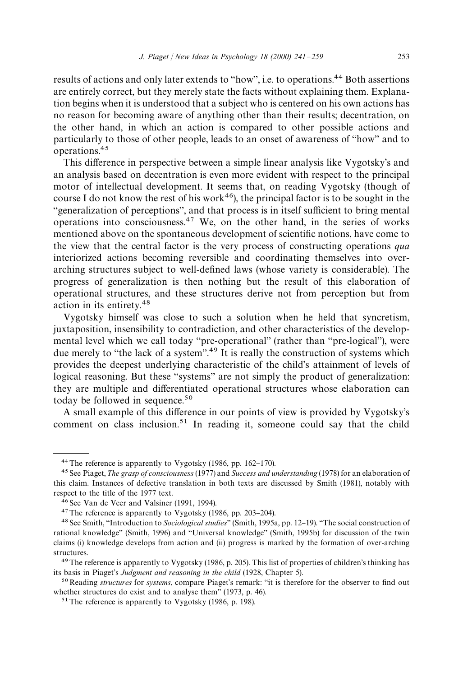results of actions and only later extends to "how", i.e. to operations.<sup>44</sup> Both assertions are entirely correct, but they merely state the facts without explaining them. Explanation begins when it is understood that a subject who is centered on his own actions has no reason for becoming aware of anything other than their results; decentration, on the other hand, in which an action is compared to other possible actions and particularly to those of other people, leads to an onset of awareness of "how" and to operations.45

This difference in perspective between a simple linear analysis like Vygotsky's and an analysis based on decentration is even more evident with respect to the principal motor of intellectual development. It seems that, on reading Vygotsky (though of course I do not know the rest of his work<sup>46</sup>), the principal factor is to be sought in the "generalization of perceptions", and that process is in itself sufficient to bring mental operations into consciousness. $47$  We, on the other hand, in the series of works mentioned above on the spontaneous development of scientific notions, have come to the view that the central factor is the very process of constructing operations *qua* interiorized actions becoming reversible and coordinating themselves into overarching structures subject to well-defined laws (whose variety is considerable). The progress of generalization is then nothing but the result of this elaboration of operational structures, and these structures derive not from perception but from action in its entirety.48

Vygotsky himself was close to such a solution when he held that syncretism, juxtaposition, insensibility to contradiction, and other characteristics of the developmental level which we call today "pre-operational" (rather than "pre-logical"), were due merely to "the lack of a system".<sup>49</sup> It is really the construction of systems which provides the deepest underlying characteristic of the child's attainment of levels of logical reasoning. But these "systems" are not simply the product of generalization: they are multiple and differentiated operational structures whose elaboration can today be followed in sequence.<sup>50</sup>

A small example of this difference in our points of view is provided by Vygotsky's comment on class inclusion.<sup>51</sup> In reading it, someone could say that the child

 $44$  The reference is apparently to Vygotsky (1986, pp. 162-170).

<sup>45</sup> See Piaget, *The grasp of consciousness* (1977) and *Success and understanding* (1978) for an elaboration of this claim. Instances of defective translation in both texts are discussed by Smith (1981), notably with respect to the title of the 1977 text.

<sup>46</sup> See Van de Veer and Valsiner (1991, 1994).

 $47$ The reference is apparently to Vygotsky (1986, pp. 203–204).

<sup>&</sup>lt;sup>48</sup> See Smith, "Introduction to *Sociological studies*" (Smith, 1995a, pp. 12–19). "The social construction of rational knowledge" (Smith, 1996) and "Universal knowledge" (Smith, 1995b) for discussion of the twin claims (i) knowledge develops from action and (ii) progress is marked by the formation of over-arching structures.

<sup>49</sup>The reference is apparently to Vygotsky (1986, p. 205). This list of properties of children's thinking has its basis in Piaget's *Judgment and reasoning in the child* (1928, Chapter 5).

<sup>&</sup>lt;sup>50</sup> Reading *structures* for *systems*, compare Piaget's remark: "it is therefore for the observer to find out whether structures do exist and to analyse them"  $(1973, p. 46)$ .

 $51$  The reference is apparently to Vygotsky (1986, p. 198).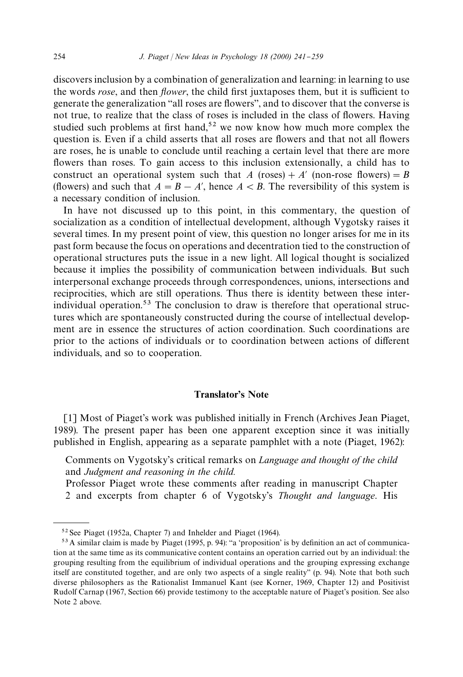discovers inclusion by a combination of generalization and learning: in learning to use the words *rose*, and then *flower*, the child first juxtaposes them, but it is sufficient to generate the generalization "all roses are flowers", and to discover that the converse is not true, to realize that the class of roses is included in the class of flowers. Having studied such problems at first hand,<sup>52</sup> we now know how much more complex the question is. Even if a child asserts that all roses are flowers and that not all flowers are roses, he is unable to conclude until reaching a certain level that there are more flowers than roses. To gain access to this inclusion extensionally, a child has to construct an operational system such that *A* (roses) + *A'* (non-rose flowers) = *B* (flowers) and such that  $A = B - A'$ , hence  $A < B$ . The reversibility of this system is a necessary condition of inclusion.

In have not discussed up to this point, in this commentary, the question of socialization as a condition of intellectual development, although Vygotsky raises it several times. In my present point of view, this question no longer arises for me in its past form because the focus on operations and decentration tied to the construction of operational structures puts the issue in a new light. All logical thought is socialized because it implies the possibility of communication between individuals. But such interpersonal exchange proceeds through correspondences, unions, intersections and reciprocities, which are still operations. Thus there is identity between these interindividual operation.<sup>53</sup> The conclusion to draw is therefore that operational structures which are spontaneously constructed during the course of intellectual development are in essence the structures of action coordination. Such coordinations are prior to the actions of individuals or to coordination between actions of different individuals, and so to cooperation.

## Translator's Note

[1] Most of Piaget's work was published initially in French (Archives Jean Piaget, 1989). The present paper has been one apparent exception since it was initially published in English, appearing as a separate pamphlet with a note (Piaget, 1962):

Comments on Vygotsky's critical remarks on *Language and thought of the child* and *Judgment and reasoning in the child.*

Professor Piaget wrote these comments after reading in manuscript Chapter 2 and excerpts from chapter 6 of Vygotsky's *Thought and language*. His

<sup>52</sup> See Piaget (1952a, Chapter 7) and Inhelder and Piaget (1964).

 $53$  A similar claim is made by Piaget (1995, p. 94): "a 'proposition' is by definition an act of communication at the same time as its communicative content contains an operation carried out by an individual: the grouping resulting from the equilibrium of individual operations and the grouping expressing exchange itself are constituted together, and are only two aspects of a single reality" (p. 94). Note that both such diverse philosophers as the Rationalist Immanuel Kant (see Korner, 1969, Chapter 12) and Positivist Rudolf Carnap (1967, Section 66) provide testimony to the acceptable nature of Piaget's position. See also Note 2 above.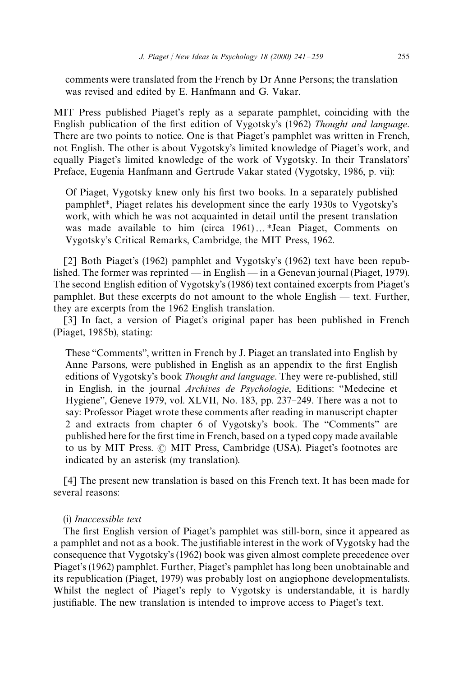comments were translated from the French by Dr Anne Persons; the translation was revised and edited by E. Hanfmann and G. Vakar.

MIT Press published Piaget's reply as a separate pamphlet, coinciding with the English publication of the first edition of Vygotsky's (1962) *Thought and language*. There are two points to notice. One is that Piaget's pamphlet was written in French, not English. The other is about Vygotsky's limited knowledge of Piaget's work, and equally Piaget's limited knowledge of the work of Vygotsky. In their Translators' Preface, Eugenia Hanfmann and Gertrude Vakar stated (Vygotsky, 1986, p. vii):

Of Piaget, Vygotsky knew only his first two books. In a separately published pamphlet\*, Piaget relates his development since the early 1930s to Vygotsky's work, with which he was not acquainted in detail until the present translation was made available to him (circa 1961)...\*Jean Piaget, Comments on Vygotsky's Critical Remarks, Cambridge, the MIT Press, 1962.

[2] Both Piaget's (1962) pamphlet and Vygotsky's (1962) text have been republished. The former was reprinted — in English — in a Genevan journal (Piaget, 1979). The second English edition of Vygotsky's (1986) text contained excerpts from Piaget's pamphlet. But these excerpts do not amount to the whole English  $-$  text. Further, they are excerpts from the 1962 English translation.

[3] In fact, a version of Piaget's original paper has been published in French (Piaget, 1985b), stating:

These "Comments", written in French by J. Piaget an translated into English by Anne Parsons, were published in English as an appendix to the first English editions of Vygotsky's book *Thought and language*. They were re-published, still in English, in the journal *Archives de Psychologie*, Editions: "Medecine et Hygiene", Geneve 1979, vol. XLVII, No. 183, pp. 237-249. There was a not to say: Professor Piaget wrote these comments after reading in manuscript chapter 2 and extracts from chapter 6 of Vygotsky's book. The "Comments" are published here for the first time in French, based on a typed copy made available to us by MIT Press. © MIT Press, Cambridge (USA). Piaget's footnotes are indicated by an asterisk (my translation).

[4] The present new translation is based on this French text. It has been made for several reasons:

#### (i) *Inaccessible text*

The first English version of Piaget's pamphlet was still-born, since it appeared as a pamphlet and not as a book. The justifiable interest in the work of Vygotsky had the consequence that Vygotsky's (1962) book was given almost complete precedence over Piaget's (1962) pamphlet. Further, Piaget's pamphlet has long been unobtainable and its republication (Piaget, 1979) was probably lost on angiophone developmentalists. Whilst the neglect of Piaget's reply to Vygotsky is understandable, it is hardly justifiable. The new translation is intended to improve access to Piaget's text.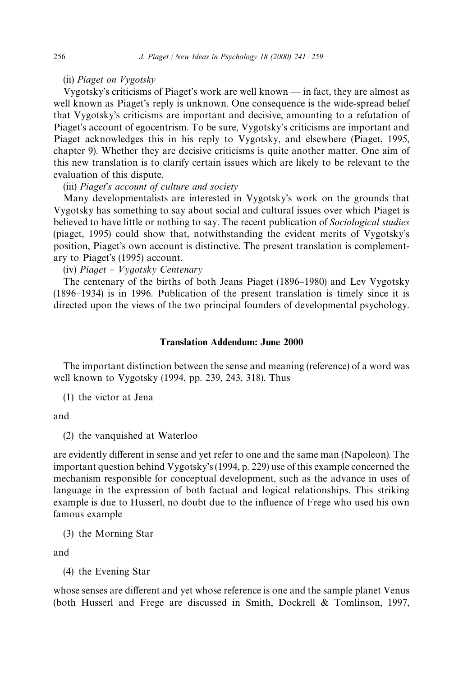## (ii) *Piaget on Vygotsky*

Vygotsky's criticisms of Piaget's work are well known  $-$  in fact, they are almost as well known as Piaget's reply is unknown. One consequence is the wide-spread belief that Vygotsky's criticisms are important and decisive, amounting to a refutation of Piaget's account of egocentrism. To be sure, Vygotsky's criticisms are important and Piaget acknowledges this in his reply to Vygotsky, and elsewhere (Piaget, 1995, chapter 9). Whether they are decisive criticisms is quite another matter. One aim of this new translation is to clarify certain issues which are likely to be relevant to the evaluation of this dispute.

(iii) *Piaget*'*s account of culture and society*

Many developmentalists are interested in Vygotsky's work on the grounds that Vygotsky has something to say about social and cultural issues over which Piaget is believed to have little or nothing to say. The recent publication of *Sociological studies* (piaget, 1995) could show that, notwithstanding the evident merits of Vygotsky's position, Piaget's own account is distinctive. The present translation is complementary to Piaget's (1995) account.

(iv) *Piaget* } <*ygotsky Centenary*

The centenary of the births of both Jeans Piaget (1896–1980) and Lev Vygotsky  $(1896–1934)$  is in 1996. Publication of the present translation is timely since it is directed upon the views of the two principal founders of developmental psychology.

## Translation Addendum: June 2000

The important distinction between the sense and meaning (reference) of a word was well known to Vygotsky (1994, pp. 239, 243, 318). Thus

(1) the victor at Jena

and

(2) the vanquished at Waterloo

are evidently different in sense and yet refer to one and the same man (Napoleon). The important question behind Vygotsky's (1994, p. 229) use of this example concerned the mechanism responsible for conceptual development, such as the advance in uses of language in the expression of both factual and logical relationships. This striking example is due to Husserl, no doubt due to the influence of Frege who used his own famous example

(3) the Morning Star

and

(4) the Evening Star

whose senses are different and yet whose reference is one and the sample planet Venus (both Husserl and Frege are discussed in Smith, Dockrell & Tomlinson, 1997,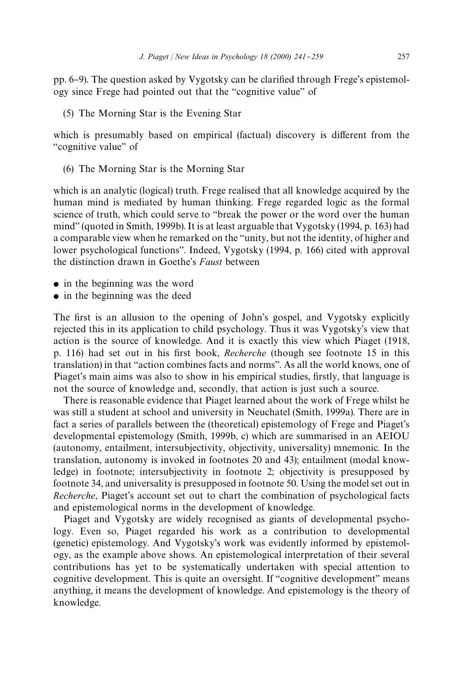pp.  $6-9$ ). The question asked by Vygotsky can be clarified through Frege's epistemology since Frege had pointed out that the "cognitive value" of

(5) The Morning Star is the Evening Star

which is presumably based on empirical (factual) discovery is different from the "cognitive value" of

(6) The Morning Star is the Morning Star

which is an analytic (logical) truth. Frege realised that all knowledge acquired by the human mind is mediated by human thinking. Frege regarded logic as the formal science of truth, which could serve to "break the power or the word over the human mind" (quoted in Smith, 1999b). It is at least arguable that Vygotsky  $(1994, p. 163)$  had a comparable view when he remarked on the "unity, but not the identity, of higher and lower psychological functions". Indeed, Vygotsky (1994, p. 166) cited with approval the distinction drawn in Goethe's *Faust* between

- $\bullet$  in the beginning was the word
- $\bullet$  in the beginning was the deed

The first is an allusion to the opening of John's gospel, and Vygotsky explicitly rejected this in its application to child psychology. Thus it was Vygotsky's view that action is the source of knowledge. And it is exactly this view which Piaget (1918, p. 116) had set out in his first book, *Recherche* (though see footnote 15 in this translation) in that "action combines facts and norms". As all the world knows, one of Piaget's main aims was also to show in his empirical studies, firstly, that language is not the source of knowledge and, secondly, that action is just such a source.

There is reasonable evidence that Piaget learned about the work of Frege whilst he was still a student at school and university in Neuchatel (Smith, 1999a). There are in fact a series of parallels between the (theoretical) epistemology of Frege and Piaget's developmental epistemology (Smith, 1999b, c) which are summarised in an AEIOU (autonomy, entailment, intersubjectivity, objectivity, universality) mnemonic. In the translation, autonomy is invoked in footnotes 20 and 43); entailment (modal knowledge) in footnote; intersubjectivity in footnote 2; objectivity is presupposed by footnote 34, and universality is presupposed in footnote 50. Using the model set out in *Recherche*, Piaget's account set out to chart the combination of psychological facts and epistemological norms in the development of knowledge.

Piaget and Vygotsky are widely recognised as giants of developmental psychology. Even so, Piaget regarded his work as a contribution to developmental (genetic) epistemology. And Vygotsky's work was evidently informed by epistemology, as the example above shows. An epistemological interpretation of their several contributions has yet to be systematically undertaken with special attention to cognitive development. This is quite an oversight. If "cognitive development" means anything, it means the development of knowledge. And epistemology is the theory of knowledge.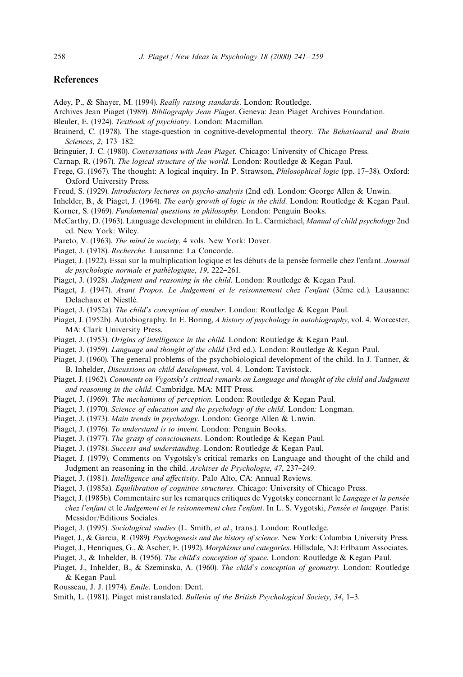## References

- Adey, P., & Shayer, M. (1994). *Really raising standards*. London: Routledge.
- Archives Jean Piaget (1989). *Bibliography Jean Piaget*. Geneva: Jean Piaget Archives Foundation.
- Bleuler, E. (1924). *Textbook of psychiatry*. London: Macmillan.
- Brainerd, C. (1978). The stage-question in cognitive-developmental theory. *The Behavioural and Brain Sciences*, 2, 173-182.
- Bringuier, J. C. (1980). *Conversations with Jean Piaget*. Chicago: University of Chicago Press.
- Carnap, R. (1967). *The logical structure of the world*. London: Routledge & Kegan Paul.
- Frege, G. (1967). The thought: A logical inquiry. In P. Strawson, *Philosophical logic* (pp. 17–38). Oxford: Oxford University Press.
- Freud, S. (1929). *Introductory lectures on psycho-analysis* (2nd ed). London: George Allen & Unwin.
- Inhelder, B., & Piaget, J. (1964). *The early growth of logic in the child*. London: Routledge & Kegan Paul. Korner, S. (1969). *Fundamental questions in philosophy*. London: Penguin Books.
- McCarthy, D. (1963). Language development in children. In L. Carmichael, *Manual of child psychology* 2nd ed. New York: Wiley.
- Pareto, V. (1963). *The mind in society*, 4 vols. New York: Dover.
- Piaget, J. (1918). *Recherche*. Lausanne: La Concorde.
- Piaget, J. (1922). Essai sur la multiplication logique et les débuts de la pensée formelle chez l'enfant. *Journal de psychologie normale et pathélogique, 19, 222-261.*
- Piaget, J. (1928). *Judgment and reasoning in the child*. London: Routledge & Kegan Paul.
- Piaget, J. (1947). *Avant Propos. Le Judgement et le reisonnement chez l'enfant* (3ème ed.). Lausanne: Delachaux et Niestlé.
- Piaget, J. (1952a). *The child*'*s conception of number*. London: Routledge & Kegan Paul.
- Piaget, J. (1952b). Autobiography. In E. Boring, *A history of psychology in autobiography*, vol. 4. Worcester, MA: Clark University Press.
- Piaget, J. (1953). *Origins of intelligence in the child*. London: Routledge & Kegan Paul.
- Piaget, J. (1959). *Language and thought of the child* (3rd ed.). London: Routledge & Kegan Paul.
- Piaget, J. (1960). The general problems of the psychobiological development of the child. In J. Tanner, & B. Inhelder, *Discussions on child development*, vol. 4. London: Tavistock.
- Piaget, J. (1962). *Comments on Vygotsky*'*s critical remarks on Language and thought of the child and Judgment and reasoning in the child*. Cambridge, MA: MIT Press.
- Piaget, J. (1969). *The mechanisms of perception*. London: Routledge & Kegan Paul.
- Piaget, J. (1970). *Science of education and the psychology of the child*. London: Longman.
- Piaget, J. (1973). *Main trends in psychology*. London: George Allen & Unwin.
- Piaget, J. (1976). *To understand is to invent*. London: Penguin Books.
- Piaget, J. (1977). *The grasp of consciousness*. London: Routledge & Kegan Paul.
- Piaget, J. (1978). *Success and understanding*. London: Routledge & Kegan Paul.
- Piaget, J. (1979). Comments on Vygotsky's critical remarks on Language and thought of the child and Judgment an reasoning in the child. Archives de Psychologie, 47, 237-249.
- Piaget, J. (1981). *Intelligence and affectivity*. Palo Alto, CA: Annual Reviews.
- Piaget, J. (1985a). *Equilibration of cognitive structures*. Chicago: University of Chicago Press.
- Piaget, J. (1985b). Commentaire sur les remarques critiques de Vygotsky concernant le *Langage et la pensée chez l*'*enfant* et le *Judgement et le reisonnement chez l*'*enfant*. In L. S. Vygotski, *Pense*& *e et langage*. Paris: Messidor/Editions Sociales.
- Piaget, J. (1995). *Sociological studies* (L. Smith, *et al*., trans.). London: Routledge.
- Piaget, J., & Garcia, R. (1989). *Psychogenesis and the history of science*. New York: Columbia University Press.
- Piaget, J., Henriques, G., & Ascher, E. (1992). *Morphisms and categories*. Hillsdale, NJ: Erlbaum Associates.
- Piaget, J., & Inhelder, B. (1956). *The child*'*s conception of space*. London: Routledge & Kegan Paul.
- Piaget, J., Inhelder, B., & Szeminska, A. (1960). *The child*'*s conception of geometry*. London: Routledge & Kegan Paul.
- Rousseau, J. J. (1974). *Emile*. London: Dent.
- Smith, L. (1981). Piaget mistranslated. *Bulletin of the British Psychological Society*, 34, 1–3.